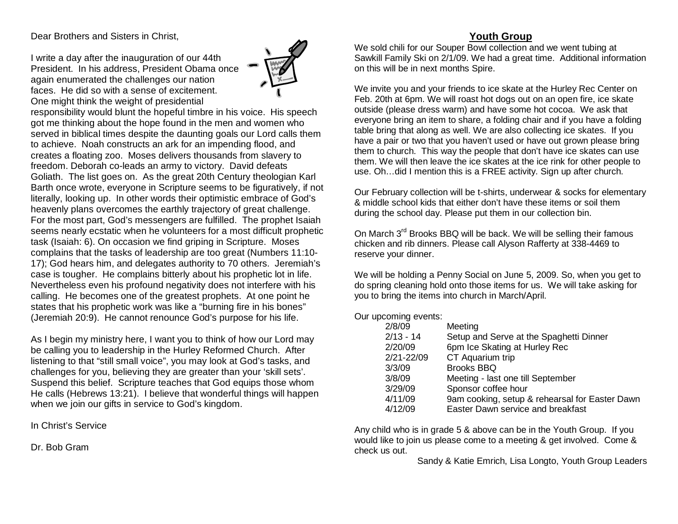Dear Brothers and Sisters in Christ,

I write a day after the inauguration of our 44th President. In his address, President Obama once again enumerated the challenges our nation faces. He did so with a sense of excitement. One might think the weight of presidential



responsibility would blunt the hopeful timbre in his voice. His speech got me thinking about the hope found in the men and women who served in biblical times despite the daunting goals our Lord calls them to achieve. Noah constructs an ark for an impending flood, and creates a floating zoo. Moses delivers thousands from slavery to freedom. Deborah co-leads an army to victory. David defeats Goliath. The list goes on. As the great 20th Century theologian Karl Barth once wrote, everyone in Scripture seems to be figuratively, if not literally, looking up. In other words their optimistic embrace of God's heavenly plans overcomes the earthly trajectory of great challenge. For the most part, God's messengers are fulfilled. The prophet Isaiah seems nearly ecstatic when he volunteers for a most difficult prophetic task (Isaiah: 6). On occasion we find griping in Scripture. Moses complains that the tasks of leadership are too great (Numbers 11:10- 17); God hears him, and delegates authority to 70 others. Jeremiah's case is tougher. He complains bitterly about his prophetic lot in life. Nevertheless even his profound negativity does not interfere with his calling. He becomes one of the greatest prophets. At one point he states that his prophetic work was like a "burning fire in his bones" (Jeremiah 20:9). He cannot renounce God's purpose for his life.

As I begin my ministry here, I want you to think of how our Lord may be calling you to leadership in the Hurley Reformed Church. After listening to that "still small voice", you may look at God's tasks, and challenges for you, believing they are greater than your 'skill sets'. Suspend this belief. Scripture teaches that God equips those whom He calls (Hebrews 13:21). I believe that wonderful things will happen when we join our gifts in service to God's kingdom.

In Christ's Service

Dr. Bob Gram

## **Youth Group**

We sold chili for our Souper Bowl collection and we went tubing at Sawkill Family Ski on 2/1/09. We had a great time. Additional information on this will be in next months Spire.

We invite you and your friends to ice skate at the Hurley Rec Center on Feb. 20th at 6pm. We will roast hot dogs out on an open fire, ice skate outside (please dress warm) and have some hot cocoa. We ask that everyone bring an item to share, a folding chair and if you have a folding table bring that along as well. We are also collecting ice skates. If you have a pair or two that you haven't used or have out grown please bring them to church. This way the people that don't have ice skates can use them. We will then leave the ice skates at the ice rink for other people to use. Oh…did I mention this is a FREE activity. Sign up after church.

Our February collection will be t-shirts, underwear & socks for elementary & middle school kids that either don't have these items or soil them during the school day. Please put them in our collection bin.

On March 3<sup>rd</sup> Brooks BBQ will be back. We will be selling their famous chicken and rib dinners. Please call Alyson Rafferty at 338-4469 to reserve your dinner.

We will be holding a Penny Social on June 5, 2009. So, when you get to do spring cleaning hold onto those items for us. We will take asking for you to bring the items into church in March/April.

Our upcoming events:

| 2/8/09         | Meeting                                        |
|----------------|------------------------------------------------|
| $2/13 - 14$    | Setup and Serve at the Spaghetti Dinner        |
| 2/20/09        | 6pm Ice Skating at Hurley Rec                  |
| $2/21 - 22/09$ | CT Aquarium trip                               |
| 3/3/09         | <b>Brooks BBQ</b>                              |
| 3/8/09         | Meeting - last one till September              |
| 3/29/09        | Sponsor coffee hour                            |
| 4/11/09        | 9am cooking, setup & rehearsal for Easter Dawn |
| 4/12/09        | Easter Dawn service and breakfast              |

Any child who is in grade 5 & above can be in the Youth Group. If you would like to join us please come to a meeting & get involved. Come & check us out.

Sandy & Katie Emrich, Lisa Longto, Youth Group Leaders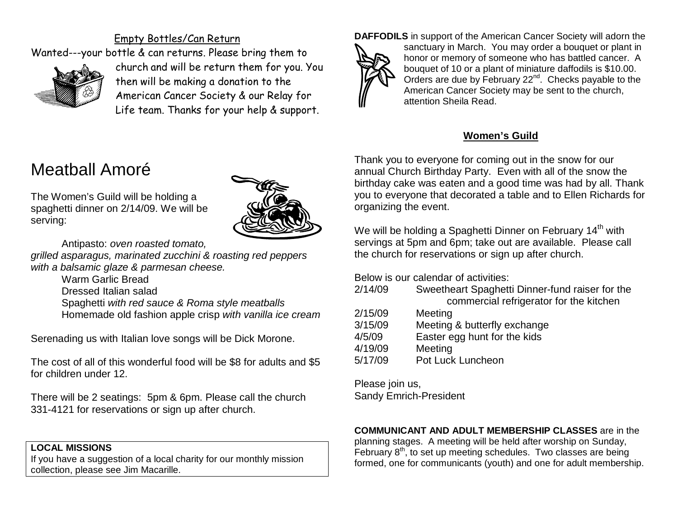## Empty Bottles/Can Return

Wanted---your bottle & can returns. Please bring them to



church and will be return them for you. You then will be making a donation to the American Cancer Society & our Relay for Life team. Thanks for your help & support.

# Meatball Amoré

The Women's Guild will be holding a spaghetti dinner on 2/14/09. We will be serving:



Antipasto: *oven roasted tomato,* 

*grilled asparagus, marinated zucchini & roasting red peppers with a balsamic glaze & parmesan cheese.* 

> Warm Garlic Bread Dressed Italian salad Spaghetti *with red sauce & Roma style meatballs* Homemade old fashion apple crisp *with vanilla ice cream*

Serenading us with Italian love songs will be Dick Morone.

The cost of all of this wonderful food will be \$8 for adults and \$5 for children under 12.

There will be 2 seatings: 5pm & 6pm. Please call the church 331-4121 for reservations or sign up after church.

## **LOCAL MISSIONS**

If you have a suggestion of a local charity for our monthly mission collection, please see Jim Macarille.

**DAFFODILS** in support of the American Cancer Society will adorn the



sanctuary in March. You may order a bouquet or plant in honor or memory of someone who has battled cancer. A bouquet of 10 or a plant of miniature daffodils is \$10.00. Orders are due by February 22<sup>nd</sup>. Checks payable to the American Cancer Society may be sent to the church, attention Sheila Read.

## **Women's Guild**

Thank you to everyone for coming out in the snow for our annual Church Birthday Party. Even with all of the snow the birthday cake was eaten and a good time was had by all. Thank you to everyone that decorated a table and to Ellen Richards for organizing the event.

We will be holding a Spaghetti Dinner on February  $14<sup>th</sup>$  with servings at 5pm and 6pm; take out are available. Please call the church for reservations or sign up after church.

Below is our calendar of activities:

| 2/14/09 | Sweetheart Spaghetti Dinner-fund raiser for the |
|---------|-------------------------------------------------|
|         | commercial refrigerator for the kitchen         |

- 2/15/09 Meeting 3/15/09 Meeting & butterfly exchange 4/5/09 Easter egg hunt for the kids
- 4/19/09 Meeting
- 5/17/09 Pot Luck Luncheon

Please join us, Sandy Emrich-President

## **COMMUNICANT AND ADULT MEMBERSHIP CLASSES** are in the

planning stages. A meeting will be held after worship on Sunday, February  $8<sup>th</sup>$ , to set up meeting schedules. Two classes are being formed, one for communicants (youth) and one for adult membership.